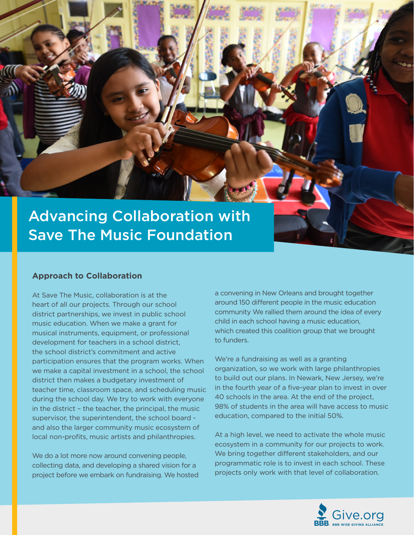

### **Approach to Collaboration**

At Save The Music, collaboration is at the heart of all our projects. Through our school district partnerships, we invest in public school music education. When we make a grant for musical instruments, equipment, or professional development for teachers in a school district, the school district's commitment and active participation ensures that the program works. When we make a capital investment in a school, the school district then makes a budgetary investment of teacher time, classroom space, and scheduling music during the school day. We try to work with everyone in the district – the teacher, the principal, the music supervisor, the superintendent, the school board and also the larger community music ecosystem of local non-profits, music artists and philanthropies.

We do a lot more now around convening people, collecting data, and developing a shared vision for a project before we embark on fundraising. We hosted a convening in New Orleans and brought together around 150 different people in the music education community We rallied them around the idea of every child in each school having a music education, which created this coalition group that we brought to funders.

We're a fundraising as well as a granting organization, so we work with large philanthropies to build out our plans. In Newark, New Jersey, we're in the fourth year of a five-year plan to invest in over 40 schools in the area. At the end of the project, 98% of students in the area will have access to music education, compared to the initial 50%.

At a high level, we need to activate the whole music ecosystem in a community for our projects to work. We bring together different stakeholders, and our programmatic role is to invest in each school. These projects only work with that level of collaboration.

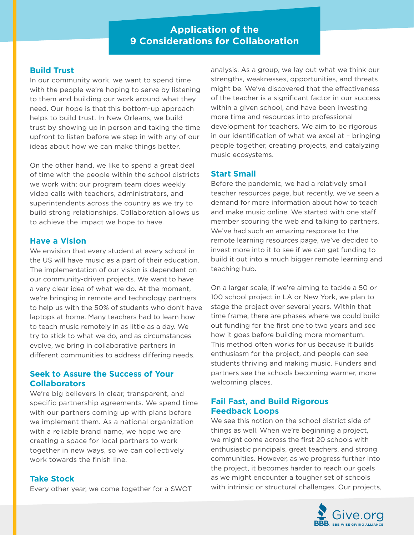# **Application of the 9 Considerations for Collaboration**

### **Build Trust**

In our community work, we want to spend time with the people we're hoping to serve by listening to them and building our work around what they need. Our hope is that this bottom-up approach helps to build trust. In New Orleans, we build trust by showing up in person and taking the time upfront to listen before we step in with any of our ideas about how we can make things better.

On the other hand, we like to spend a great deal of time with the people within the school districts we work with; our program team does weekly video calls with teachers, administrators, and superintendents across the country as we try to build strong relationships. Collaboration allows us to achieve the impact we hope to have.

### **Have a Vision**

We envision that every student at every school in the US will have music as a part of their education. The implementation of our vision is dependent on our community-driven projects. We want to have a very clear idea of what we do. At the moment, we're bringing in remote and technology partners to help us with the 50% of students who don't have laptops at home. Many teachers had to learn how to teach music remotely in as little as a day. We try to stick to what we do, and as circumstances evolve, we bring in collaborative partners in different communities to address differing needs.

# **Seek to Assure the Success of Your Collaborators**

We're big believers in clear, transparent, and specific partnership agreements. We spend time with our partners coming up with plans before we implement them. As a national organization with a reliable brand name, we hope we are creating a space for local partners to work together in new ways, so we can collectively work towards the finish line.

### **Take Stock**

Every other year, we come together for a SWOT

analysis. As a group, we lay out what we think our strengths, weaknesses, opportunities, and threats might be. We've discovered that the effectiveness of the teacher is a significant factor in our success within a given school, and have been investing more time and resources into professional development for teachers. We aim to be rigorous in our identification of what we excel at – bringing people together, creating projects, and catalyzing music ecosystems.

### **Start Small**

Before the pandemic, we had a relatively small teacher resources page, but recently, we've seen a demand for more information about how to teach and make music online. We started with one staff member scouring the web and talking to partners. We've had such an amazing response to the remote learning resources page, we've decided to invest more into it to see if we can get funding to build it out into a much bigger remote learning and teaching hub.

On a larger scale, if we're aiming to tackle a 50 or 100 school project in LA or New York, we plan to stage the project over several years. Within that time frame, there are phases where we could build out funding for the first one to two years and see how it goes before building more momentum. This method often works for us because it builds enthusiasm for the project, and people can see students thriving and making music. Funders and partners see the schools becoming warmer, more welcoming places.

# **Fail Fast, and Build Rigorous Feedback Loops**

We see this notion on the school district side of things as well. When we're beginning a project, we might come across the first 20 schools with enthusiastic principals, great teachers, and strong communities. However, as we progress further into the project, it becomes harder to reach our goals as we might encounter a tougher set of schools with intrinsic or structural challenges. Our projects,